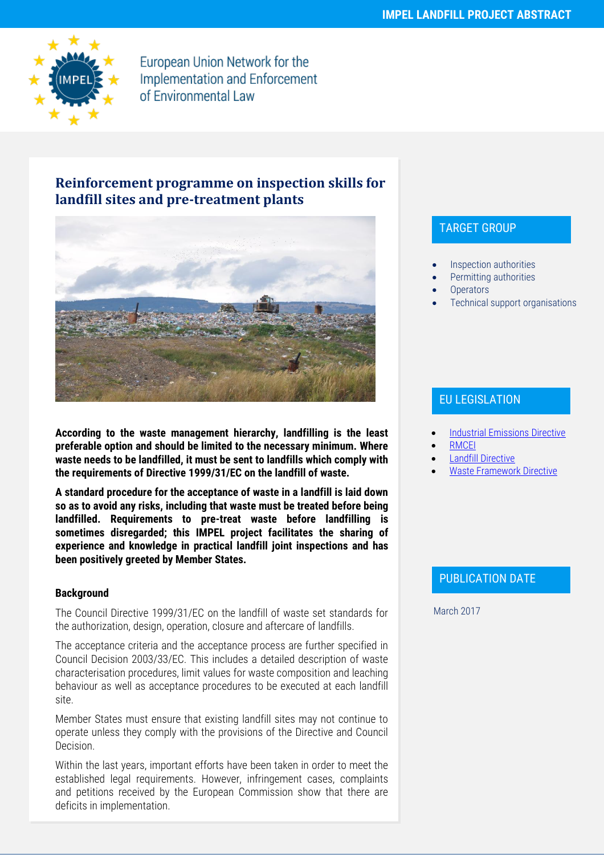

European Union Network for the **Implementation and Enforcement** of Environmental Law

# **Reinforcement programme on inspection skills for landfill sites and pre-treatment plants**



**According to the waste management hierarchy, landfilling is the least preferable option and should be limited to the necessary minimum. Where waste needs to be landfilled, it must be sent to landfills which comply with the requirements of Directive 1999/31/EC on the landfill of waste.**

**A standard procedure for the acceptance of waste in a landfill is laid down so as to avoid any risks, including that waste must be treated before being landfilled. Requirements to pre-treat waste before landfilling is sometimes disregarded; this IMPEL project facilitates the sharing of experience and knowledge in practical landfill joint inspections and has been positively greeted by Member States.**

#### **Background**

The Council Directive 1999/31/EC on the landfill of waste set standards for the authorization, design, operation, closure and aftercare of landfills.

The acceptance criteria and the acceptance process are further specified in Council Decision 2003/33/EC. This includes a detailed description of waste characterisation procedures, limit values for waste composition and leaching behaviour as well as acceptance procedures to be executed at each landfill site.

Member States must ensure that existing landfill sites may not continue to operate unless they comply with the provisions of the Directive and Council Decision.

Within the last years, important efforts have been taken in order to meet the established legal requirements. However, infringement cases, complaints and petitions received by the European Commission show that there are deficits in implementation.

## TARGET GROUP

- Inspection authorities
- Permitting authorities
- **Operators**
- Technical support organisations

## EU LEGISLATION

- [Industrial Emissions Directive](http://ec.europa.eu/environment/industry/stationary/ied/legislation.htm)
- [RMCEI](http://ec.europa.eu/environment/legal/law/inspections.htm)
- [Landfill Directive](http://ec.europa.eu/environment/waste/landfill_index.htm)
- [Waste Framework Directive](http://ec.europa.eu/environment/waste/framework/)

## PUBLICATION DATE

March 2017